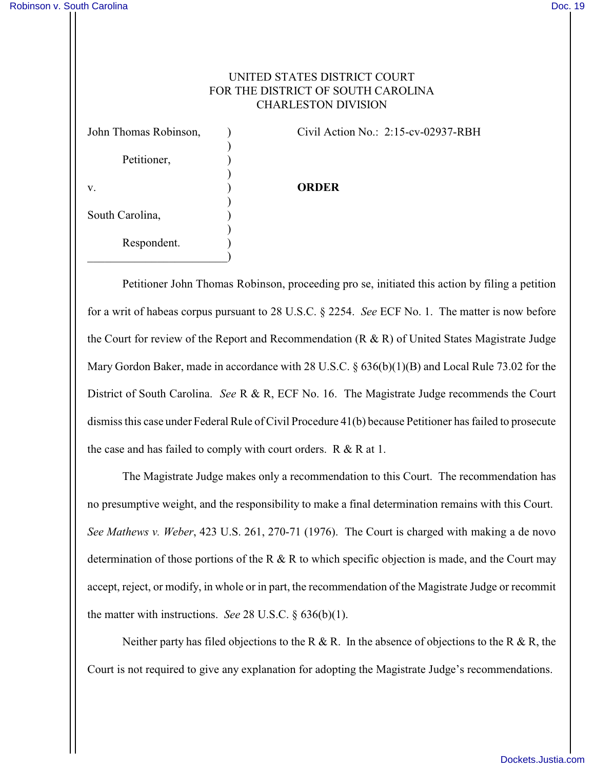## UNITED STATES DISTRICT COURT FOR THE DISTRICT OF SOUTH CAROLINA CHARLESTON DIVISION

| John Thomas Robinson, |  |
|-----------------------|--|
| Petitioner,           |  |
| V.                    |  |
| South Carolina,       |  |
| Respondent.           |  |

) Civil Action No.: 2:15-cv-02937-RBH

## v. ) **ORDER**

Petitioner John Thomas Robinson, proceeding pro se, initiated this action by filing a petition for a writ of habeas corpus pursuant to 28 U.S.C. § 2254. *See* ECF No. 1. The matter is now before the Court for review of the Report and Recommendation  $(R & R)$  of United States Magistrate Judge Mary Gordon Baker, made in accordance with 28 U.S.C. § 636(b)(1)(B) and Local Rule 73.02 for the District of South Carolina. *See* R & R, ECF No. 16. The Magistrate Judge recommends the Court dismissthis case under Federal Rule of Civil Procedure 41(b) because Petitioner has failed to prosecute the case and has failed to comply with court orders.  $R \& R$  at 1.

The Magistrate Judge makes only a recommendation to this Court. The recommendation has no presumptive weight, and the responsibility to make a final determination remains with this Court. *See Mathews v. Weber*, 423 U.S. 261, 270-71 (1976). The Court is charged with making a de novo determination of those portions of the R & R to which specific objection is made, and the Court may accept, reject, or modify, in whole or in part, the recommendation of the Magistrate Judge or recommit the matter with instructions. *See* 28 U.S.C. § 636(b)(1).

Neither party has filed objections to the R & R. In the absence of objections to the R & R, the Court is not required to give any explanation for adopting the Magistrate Judge's recommendations.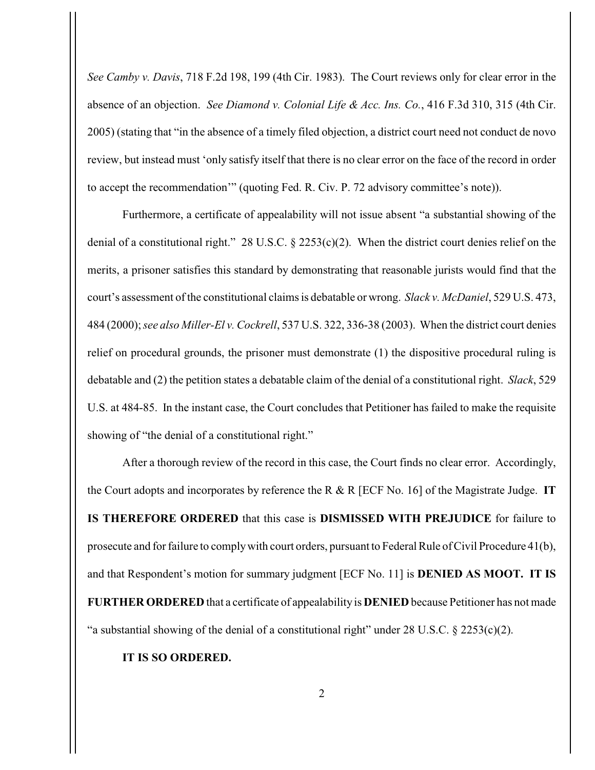*See Camby v. Davis*, 718 F.2d 198, 199 (4th Cir. 1983). The Court reviews only for clear error in the absence of an objection. *See Diamond v. Colonial Life & Acc. Ins. Co.*, 416 F.3d 310, 315 (4th Cir. 2005) (stating that "in the absence of a timely filed objection, a district court need not conduct de novo review, but instead must 'only satisfy itself that there is no clear error on the face of the record in order to accept the recommendation'" (quoting Fed. R. Civ. P. 72 advisory committee's note)).

Furthermore, a certificate of appealability will not issue absent "a substantial showing of the denial of a constitutional right." 28 U.S.C. § 2253(c)(2). When the district court denies relief on the merits, a prisoner satisfies this standard by demonstrating that reasonable jurists would find that the court's assessment of the constitutional claims is debatable or wrong. *Slack v. McDaniel*, 529 U.S. 473, 484 (2000); *see also Miller-El v. Cockrell*, 537 U.S. 322, 336-38 (2003). When the district court denies relief on procedural grounds, the prisoner must demonstrate (1) the dispositive procedural ruling is debatable and (2) the petition states a debatable claim of the denial of a constitutional right. *Slack*, 529 U.S. at 484-85. In the instant case, the Court concludes that Petitioner has failed to make the requisite showing of "the denial of a constitutional right."

After a thorough review of the record in this case, the Court finds no clear error. Accordingly, the Court adopts and incorporates by reference the R & R [ECF No. 16] of the Magistrate Judge. **IT IS THEREFORE ORDERED** that this case is **DISMISSED WITH PREJUDICE** for failure to prosecute and for failure to complywith court orders, pursuant to Federal Rule of Civil Procedure 41(b), and that Respondent's motion for summary judgment [ECF No. 11] is **DENIED AS MOOT. IT IS FURTHER ORDERED** that a certificate of appealability is **DENIED** because Petitioner has not made "a substantial showing of the denial of a constitutional right" under  $28 \text{ U.S.C. } § 2253(c)(2)$ .

**IT IS SO ORDERED.**